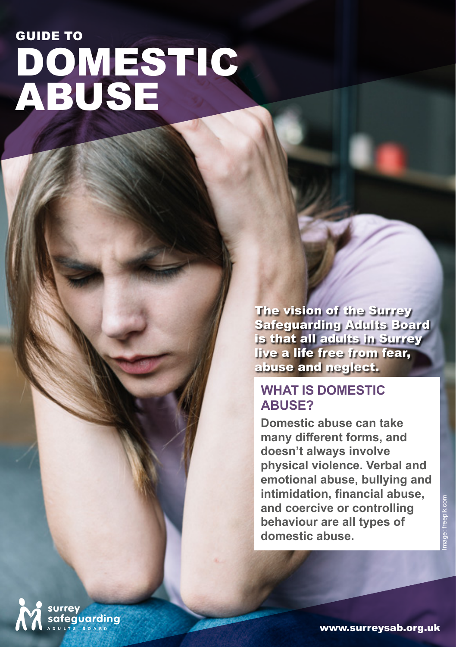# DOMESTIC ABUSE GUIDE TO

The vision of the Surrey Safeguarding Adults Board is that all adults in Surrey live a life free from fear, abuse and neglect.

#### **WHAT IS DOMESTIC ABUSE?**

**Domestic abuse can take many different forms, and doesn't always involve physical violence. Verbal and emotional abuse, bullying and intimidation, financial abuse, and coercive or controlling behaviour are all types of domestic abuse.**

surrey<br>safeguarding